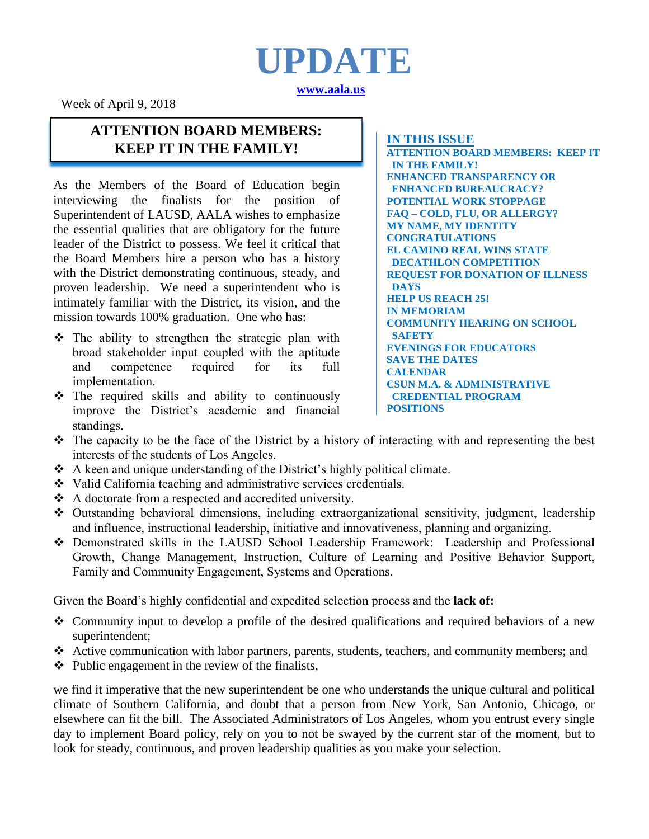# **UPDATE [www.aala.us](http://www.aala.us/)**

Week of April 9, 2018

### **ATTENTION BOARD MEMBERS: KEEP IT IN THE FAMILY! IN THIS ISSUE**

As the Members of the Board of Education begin interviewing the finalists for the position of Superintendent of LAUSD, AALA wishes to emphasize the essential qualities that are obligatory for the future leader of the District to possess. We feel it critical that the Board Members hire a person who has a history with the District demonstrating continuous, steady, and proven leadership. We need a superintendent who is intimately familiar with the District, its vision, and the mission towards 100% graduation. One who has:

- $\hat{P}$  The ability to strengthen the strategic plan with broad stakeholder input coupled with the aptitude and competence required for its full implementation.
- $\hat{\cdot}$  The required skills and ability to continuously improve the District's academic and financial standings.

**ATTENTION BOARD MEMBERS: KEEP IT IN THE FAMILY! ENHANCED TRANSPARENCY OR ENHANCED BUREAUCRACY? POTENTIAL WORK STOPPAGE FAQ – COLD, FLU, OR ALLERGY? MY NAME, MY IDENTITY CONGRATULATIONS EL CAMINO REAL WINS STATE DECATHLON COMPETITION REQUEST FOR DONATION OF ILLNESS DAYS HELP US REACH 25! IN MEMORIAM COMMUNITY HEARING ON SCHOOL SAFETY EVENINGS FOR EDUCATORS SAVE THE DATES CALENDAR CSUN M.A. & ADMINISTRATIVE CREDENTIAL PROGRAM POSITIONS**

- The capacity to be the face of the District by a history of interacting with and representing the best interests of the students of Los Angeles.
- $\triangle$  A keen and unique understanding of the District's highly political climate.
- Valid California teaching and administrative services credentials.
- A doctorate from a respected and accredited university.
- Outstanding behavioral dimensions, including extraorganizational sensitivity, judgment, leadership and influence, instructional leadership, initiative and innovativeness, planning and organizing.
- Demonstrated skills in the LAUSD School Leadership Framework: Leadership and Professional Growth, Change Management, Instruction, Culture of Learning and Positive Behavior Support, Family and Community Engagement, Systems and Operations.

Given the Board's highly confidential and expedited selection process and the **lack of:**

- Community input to develop a profile of the desired qualifications and required behaviors of a new superintendent;
- Active communication with labor partners, parents, students, teachers, and community members; and
- $\triangle$  Public engagement in the review of the finalists,

we find it imperative that the new superintendent be one who understands the unique cultural and political climate of Southern California, and doubt that a person from New York, San Antonio, Chicago, or elsewhere can fit the bill. The Associated Administrators of Los Angeles, whom you entrust every single day to implement Board policy, rely on you to not be swayed by the current star of the moment, but to look for steady, continuous, and proven leadership qualities as you make your selection.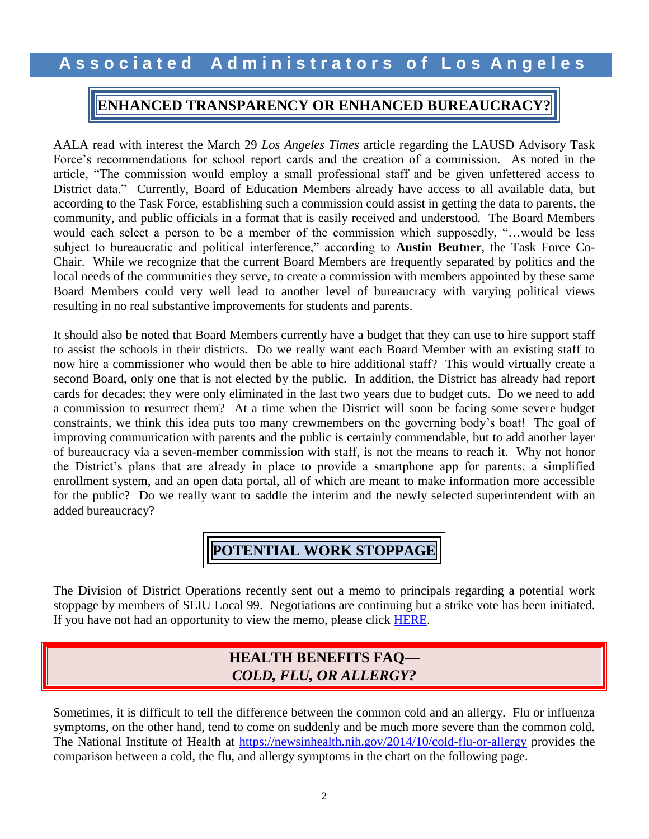### **ENHANCED TRANSPARENCY OR ENHANCED BUREAUCRACY?**

AALA read with interest the March 29 *Los Angeles Times* article regarding the LAUSD Advisory Task Force's recommendations for school report cards and the creation of a commission. As noted in the article, "The commission would employ a small professional staff and be given unfettered access to District data." Currently, Board of Education Members already have access to all available data, but according to the Task Force, establishing such a commission could assist in getting the data to parents, the community, and public officials in a format that is easily received and understood. The Board Members would each select a person to be a member of the commission which supposedly, "…would be less subject to bureaucratic and political interference," according to **Austin Beutner**, the Task Force Co-Chair. While we recognize that the current Board Members are frequently separated by politics and the local needs of the communities they serve, to create a commission with members appointed by these same Board Members could very well lead to another level of bureaucracy with varying political views resulting in no real substantive improvements for students and parents.

It should also be noted that Board Members currently have a budget that they can use to hire support staff to assist the schools in their districts. Do we really want each Board Member with an existing staff to now hire a commissioner who would then be able to hire additional staff? This would virtually create a second Board, only one that is not elected by the public. In addition, the District has already had report cards for decades; they were only eliminated in the last two years due to budget cuts. Do we need to add a commission to resurrect them? At a time when the District will soon be facing some severe budget constraints, we think this idea puts too many crewmembers on the governing body's boat! The goal of improving communication with parents and the public is certainly commendable, but to add another layer of bureaucracy via a seven-member commission with staff, is not the means to reach it. Why not honor the District's plans that are already in place to provide a smartphone app for parents, a simplified enrollment system, and an open data portal, all of which are meant to make information more accessible for the public? Do we really want to saddle the interim and the newly selected superintendent with an added bureaucracy?

## **POTENTIAL WORK STOPPAGE**

The Division of District Operations recently sent out a memo to principals regarding a potential work stoppage by members of SEIU Local 99. Negotiations are continuing but a strike vote has been initiated. If you have not had an opportunity to view the memo, please click [HERE.](http://www.aala.us/docs/2018/04/Memo-SEIU-Potential-Work-Stoppage-4-3-18.pdf)

### **HEALTH BENEFITS FAQ—** *COLD, FLU, OR ALLERGY?*

Sometimes, it is difficult to tell the difference between the common cold and an allergy. Flu or influenza symptoms, on the other hand, tend to come on suddenly and be much more severe than the common cold. The National Institute of Health at<https://newsinhealth.nih.gov/2014/10/cold-flu-or-allergy> provides the comparison between a cold, the flu, and allergy symptoms in the chart on the following page.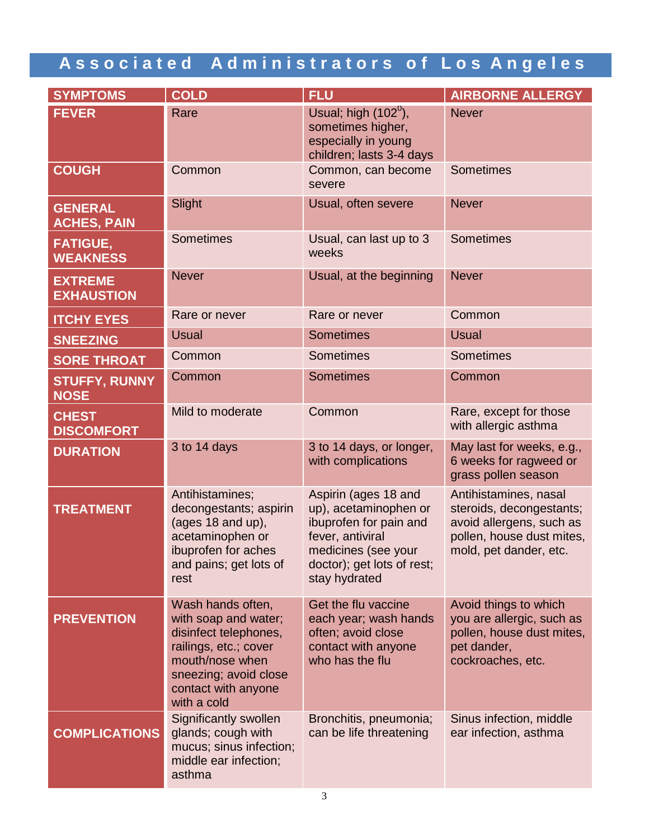| <b>SYMPTOMS</b>                      | <b>COLD</b>                                                                                                                                                                   | <b>FLU</b>                                                                                                                                                        | <b>AIRBORNE ALLERGY</b>                                                                                                              |
|--------------------------------------|-------------------------------------------------------------------------------------------------------------------------------------------------------------------------------|-------------------------------------------------------------------------------------------------------------------------------------------------------------------|--------------------------------------------------------------------------------------------------------------------------------------|
| <b>FEVER</b>                         | Rare                                                                                                                                                                          | Usual; high $(102^0)$ ,<br>sometimes higher,<br>especially in young<br>children; lasts 3-4 days                                                                   | <b>Never</b>                                                                                                                         |
| <b>COUGH</b>                         | Common                                                                                                                                                                        | Common, can become<br>severe                                                                                                                                      | <b>Sometimes</b>                                                                                                                     |
| <b>GENERAL</b><br><b>ACHES, PAIN</b> | Slight                                                                                                                                                                        | Usual, often severe                                                                                                                                               | <b>Never</b>                                                                                                                         |
| <b>FATIGUE,</b><br><b>WEAKNESS</b>   | <b>Sometimes</b>                                                                                                                                                              | Usual, can last up to 3<br>weeks                                                                                                                                  | <b>Sometimes</b>                                                                                                                     |
| <b>EXTREME</b><br><b>EXHAUSTION</b>  | <b>Never</b>                                                                                                                                                                  | Usual, at the beginning                                                                                                                                           | <b>Never</b>                                                                                                                         |
| <b>ITCHY EYES</b>                    | Rare or never                                                                                                                                                                 | Rare or never                                                                                                                                                     | Common                                                                                                                               |
| <b>SNEEZING</b>                      | <b>Usual</b>                                                                                                                                                                  | <b>Sometimes</b>                                                                                                                                                  | <b>Usual</b>                                                                                                                         |
| <b>SORE THROAT</b>                   | Common                                                                                                                                                                        | <b>Sometimes</b>                                                                                                                                                  | <b>Sometimes</b>                                                                                                                     |
| <b>STUFFY, RUNNY</b><br><b>NOSE</b>  | Common                                                                                                                                                                        | <b>Sometimes</b>                                                                                                                                                  | Common                                                                                                                               |
| <b>CHEST</b><br><b>DISCOMFORT</b>    | Mild to moderate                                                                                                                                                              | Common                                                                                                                                                            | Rare, except for those<br>with allergic asthma                                                                                       |
| <b>DURATION</b>                      | 3 to 14 days                                                                                                                                                                  | 3 to 14 days, or longer,<br>with complications                                                                                                                    | May last for weeks, e.g.,<br>6 weeks for ragweed or<br>grass pollen season                                                           |
| <b>TREATMENT</b>                     | Antihistamines;<br>decongestants; aspirin<br>(ages 18 and up),<br>acetaminophen or<br>ibuprofen for aches<br>and pains; get lots of<br>rest                                   | Aspirin (ages 18 and<br>up), acetaminophen or<br>ibuprofen for pain and<br>fever, antiviral<br>medicines (see your<br>doctor); get lots of rest;<br>stay hydrated | Antihistamines, nasal<br>steroids, decongestants;<br>avoid allergens, such as<br>pollen, house dust mites,<br>mold, pet dander, etc. |
| <b>PREVENTION</b>                    | Wash hands often,<br>with soap and water;<br>disinfect telephones,<br>railings, etc.; cover<br>mouth/nose when<br>sneezing; avoid close<br>contact with anyone<br>with a cold | Get the flu vaccine<br>each year; wash hands<br>often; avoid close<br>contact with anyone<br>who has the flu                                                      | Avoid things to which<br>you are allergic, such as<br>pollen, house dust mites,<br>pet dander,<br>cockroaches, etc.                  |
| <b>COMPLICATIONS</b>                 | Significantly swollen<br>glands; cough with<br>mucus; sinus infection;<br>middle ear infection;<br>asthma                                                                     | Bronchitis, pneumonia;<br>can be life threatening                                                                                                                 | Sinus infection, middle<br>ear infection, asthma                                                                                     |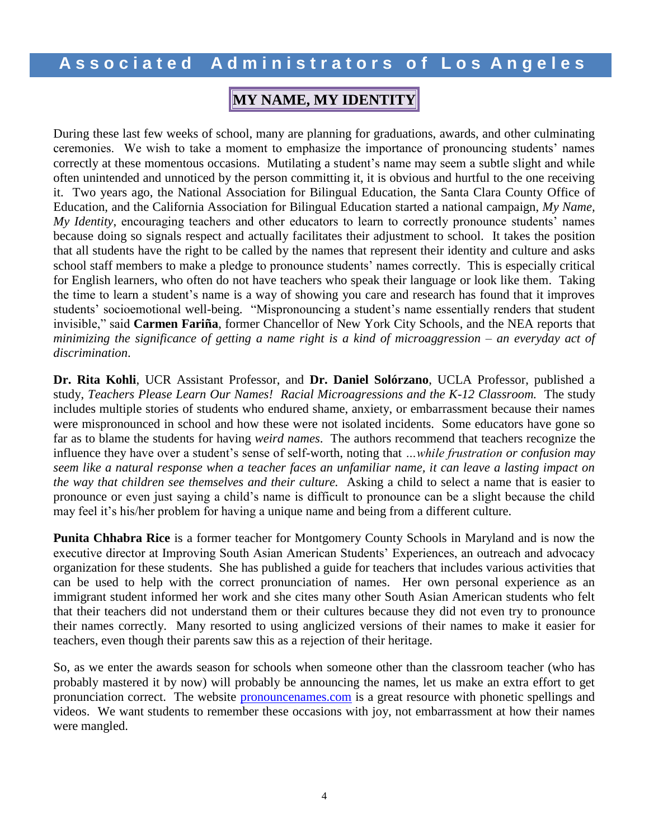### **MY NAME, MY IDENTITY**

During these last few weeks of school, many are planning for graduations, awards, and other culminating ceremonies. We wish to take a moment to emphasize the importance of pronouncing students' names correctly at these momentous occasions. Mutilating a student's name may seem a subtle slight and while often unintended and unnoticed by the person committing it, it is obvious and hurtful to the one receiving it. Two years ago, the National Association for Bilingual Education, the Santa Clara County Office of Education, and the California Association for Bilingual Education started a national campaign, *My Name, My Identity*, encouraging teachers and other educators to learn to correctly pronounce students' names because doing so signals respect and actually facilitates their adjustment to school. It takes the position that all students have the right to be called by the names that represent their identity and culture and asks school staff members to make a pledge to pronounce students' names correctly. This is especially critical for English learners, who often do not have teachers who speak their language or look like them. Taking the time to learn a student's name is a way of showing you care and research has found that it improves students' socioemotional well-being. "Mispronouncing a student's name essentially renders that student invisible," said **Carmen Fariña**, former Chancellor of New York City Schools, and the NEA reports that *minimizing the significance of getting a name right is a kind of microaggression – an everyday act of discrimination*.

**Dr. Rita Kohli**, UCR Assistant Professor, and **Dr. Daniel Solórzano**, UCLA Professor, published a study, *Teachers Please Learn Our Names! Racial Microagressions and the K-12 Classroom.* The study includes multiple stories of students who endured shame, anxiety, or embarrassment because their names were mispronounced in school and how these were not isolated incidents. Some educators have gone so far as to blame the students for having *weird names*. The authors recommend that teachers recognize the influence they have over a student's sense of self-worth, noting that *…while frustration or confusion may seem like a natural response when a teacher faces an unfamiliar name, it can leave a lasting impact on the way that children see themselves and their culture.* Asking a child to select a name that is easier to pronounce or even just saying a child's name is difficult to pronounce can be a slight because the child may feel it's his/her problem for having a unique name and being from a different culture.

**Punita Chhabra Rice** is a former teacher for Montgomery County Schools in Maryland and is now the executive director at Improving South Asian American Students' Experiences, an outreach and advocacy organization for these students. She has published a guide for teachers that includes various activities that can be used to help with the correct pronunciation of names. Her own personal experience as an immigrant student informed her work and she cites many other South Asian American students who felt that their teachers did not understand them or their cultures because they did not even try to pronounce their names correctly. Many resorted to using anglicized versions of their names to make it easier for teachers, even though their parents saw this as a rejection of their heritage.

So, as we enter the awards season for schools when someone other than the classroom teacher (who has probably mastered it by now) will probably be announcing the names, let us make an extra effort to get pronunciation correct. The website [pronouncenames.com](http://www.pronouncenames.com/) is a great resource with phonetic spellings and videos. We want students to remember these occasions with joy, not embarrassment at how their names were mangled.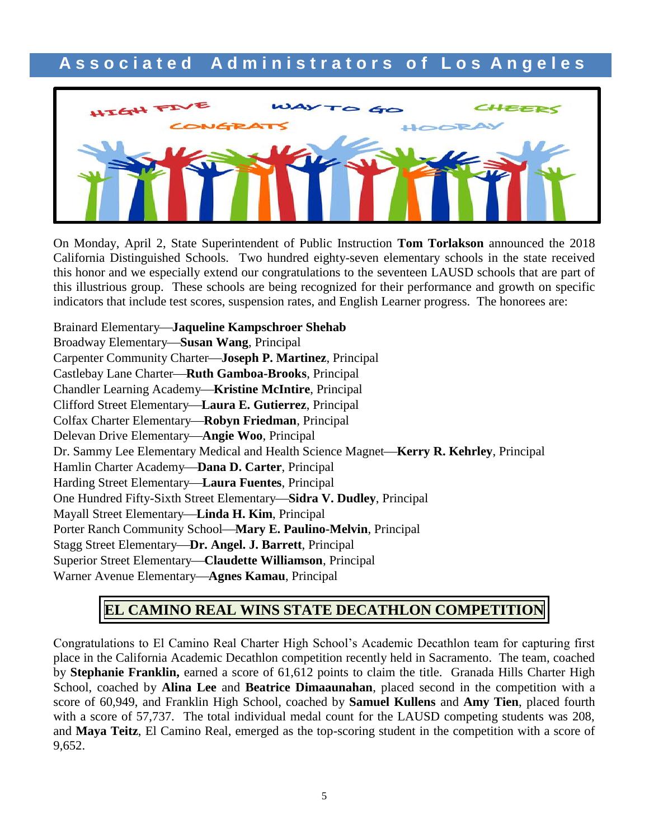

On Monday, April 2, State Superintendent of Public Instruction **Tom Torlakson** announced the 2018 California Distinguished Schools. Two hundred eighty-seven elementary schools in the state received this honor and we especially extend our congratulations to the seventeen LAUSD schools that are part of this illustrious group. These schools are being recognized for their performance and growth on specific indicators that include test scores, suspension rates, and English Learner progress. The honorees are:

Brainard Elementary**Jaqueline Kampschroer Shehab** Broadway Elementary-Susan Wang, Principal Carpenter Community Charter**Joseph P. Martinez**, Principal Castlebay Lane Charter-Ruth Gamboa-Brooks, Principal Chandler Learning Academy-Kristine McIntire, Principal Clifford Street Elementary**Laura E. Gutierrez**, Principal Colfax Charter Elementary-Robyn Friedman, Principal Delevan Drive Elementary-Angie Woo, Principal Dr. Sammy Lee Elementary Medical and Health Science Magnet—Kerry R. Kehrley, Principal Hamlin Charter Academy-Dana D. Carter, Principal Harding Street Elementary**Laura Fuentes**, Principal One Hundred Fifty-Sixth Street Elementary-Sidra V. Dudley, Principal Mayall Street Elementary**Linda H. Kim**, Principal Porter Ranch Community School-Mary E. Paulino-Melvin, Principal Stagg Street Elementary—Dr. Angel. J. Barrett, Principal Superior Street Elementary—**Claudette Williamson**, Principal Warner Avenue Elementary-Agnes Kamau, Principal

## **EL CAMINO REAL WINS STATE DECATHLON COMPETITION**

Congratulations to El Camino Real Charter High School's Academic Decathlon team for capturing first place in the California Academic Decathlon competition recently held in Sacramento. The team, coached by **Stephanie Franklin,** earned a score of 61,612 points to claim the title. Granada Hills Charter High School, coached by **Alina Lee** and **Beatrice Dimaaunahan**, placed second in the competition with a score of 60,949, and Franklin High School, coached by **Samuel Kullens** and **Amy Tien**, placed fourth with a score of 57,737. The total individual medal count for the LAUSD competing students was 208, and **Maya Teitz**, El Camino Real, emerged as the top-scoring student in the competition with a score of 9,652.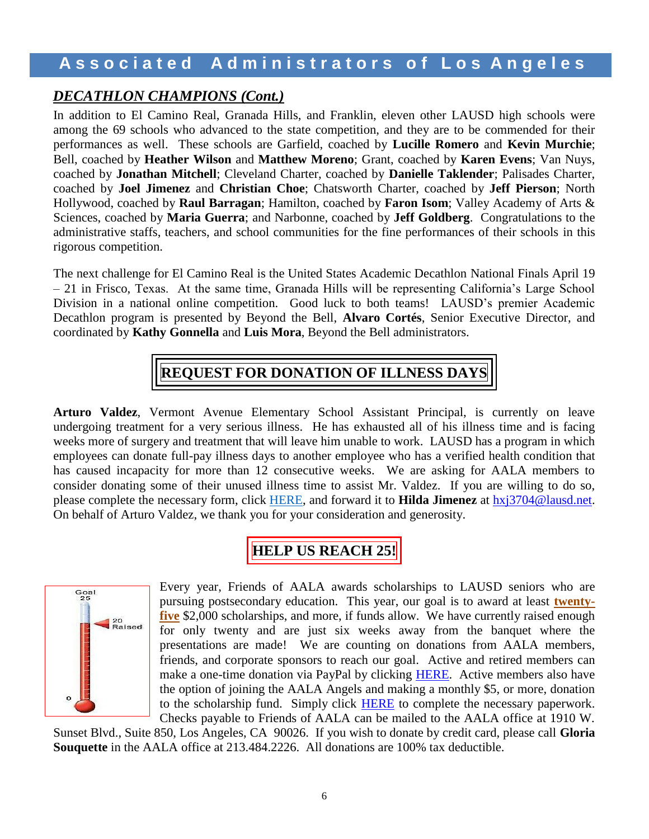### *DECATHLON CHAMPIONS (Cont.)*

In addition to El Camino Real, Granada Hills, and Franklin, eleven other LAUSD high schools were among the 69 schools who advanced to the state competition, and they are to be commended for their performances as well. These schools are Garfield, coached by **Lucille Romero** and **Kevin Murchie**; Bell, coached by **Heather Wilson** and **Matthew Moreno**; Grant, coached by **Karen Evens**; Van Nuys, coached by **Jonathan Mitchell**; Cleveland Charter, coached by **Danielle Taklender**; Palisades Charter, coached by **Joel Jimenez** and **Christian Choe**; Chatsworth Charter, coached by **Jeff Pierson**; North Hollywood, coached by **Raul Barragan**; Hamilton, coached by **Faron Isom**; Valley Academy of Arts & Sciences, coached by **Maria Guerra**; and Narbonne, coached by **Jeff Goldberg**. Congratulations to the administrative staffs, teachers, and school communities for the fine performances of their schools in this rigorous competition.

The next challenge for El Camino Real is the United States Academic Decathlon National Finals April 19 – 21 in Frisco, Texas. At the same time, Granada Hills will be representing California's Large School Division in a national online competition. Good luck to both teams! LAUSD's premier Academic Decathlon program is presented by Beyond the Bell, **Alvaro Cortés**, Senior Executive Director, and coordinated by **Kathy Gonnella** and **Luis Mora**, Beyond the Bell administrators.

## **REQUEST FOR DONATION OF ILLNESS DAYS**

**Arturo Valdez**, Vermont Avenue Elementary School Assistant Principal, is currently on leave undergoing treatment for a very serious illness. He has exhausted all of his illness time and is facing weeks more of surgery and treatment that will leave him unable to work. LAUSD has a program in which employees can donate full-pay illness days to another employee who has a verified health condition that has caused incapacity for more than 12 consecutive weeks. We are asking for AALA members to consider donating some of their unused illness time to assist Mr. Valdez. If you are willing to do so, please complete the necessary form, click [HERE,](https://na01.safelinks.protection.outlook.com/?url=http%3A%2F%2Fwww.aala.us%2Fdocs%2F2018%2F03%2FDonor-Confirmation-VALDEZ.pdf&data=02%7C01%7Crobin.polito%40lausd.net%7Cf488ace1f4df4fcfb53e08d59104d611%7C042a40a1b1284ac48648016ffa121487%7C1%7C0%7C636574372310203451&sdata=zQhb4pEtGUFMigBStKahm3p0ZsAINK21eYxtluiryOs%3D&reserved=0) and forward it to **Hilda Jimenez** at [hxj3704@lausd.net.](mailto:hxj3704@lausd.net) On behalf of Arturo Valdez, we thank you for your consideration and generosity.

## **HELP US REACH 25!**



Every year, Friends of AALA awards scholarships to LAUSD seniors who are pursuing postsecondary education. This year, our goal is to award at least **twentyfive** \$2,000 scholarships, and more, if funds allow. We have currently raised enough for only twenty and are just six weeks away from the banquet where the presentations are made! We are counting on donations from AALA members, friends, and corporate sponsors to reach our goal. Active and retired members can make a one-time donation via PayPal by clicking **HERE**. Active members also have the option of joining the AALA Angels and making a monthly \$5, or more, donation to the scholarship fund. Simply click **HERE** to complete the necessary paperwork. Checks payable to Friends of AALA can be mailed to the AALA office at 1910 W.

Sunset Blvd., Suite 850, Los Angeles, CA 90026. If you wish to donate by credit card, please call **Gloria Souquette** in the AALA office at 213.484.2226. All donations are 100% tax deductible.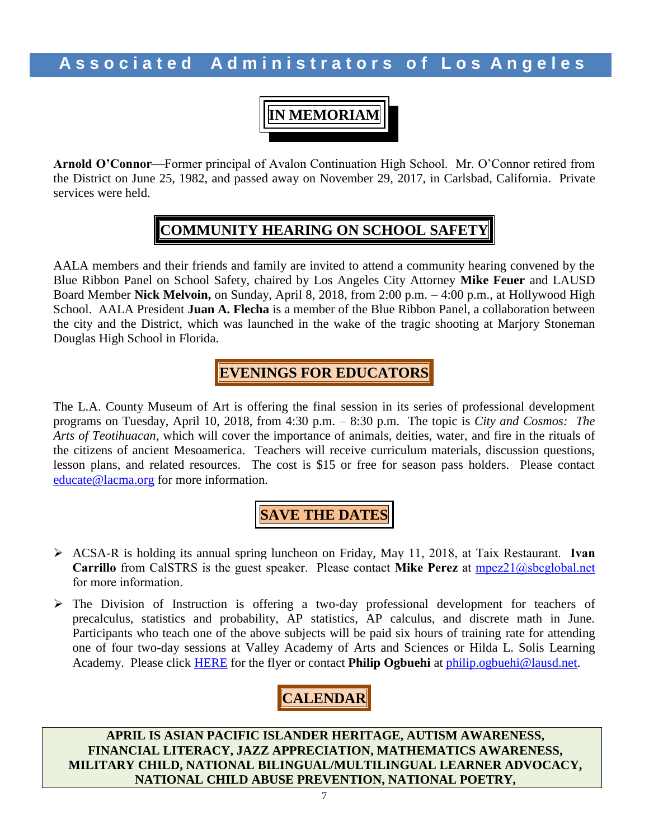**IN MEMORIAM**

**Arnold O'Connor—Former principal of Avalon Continuation High School. Mr. O'Connor retired from** the District on June 25, 1982, and passed away on November 29, 2017, in Carlsbad, California. Private services were held.

## **COMMUNITY HEARING ON SCHOOL SAFETY**

AALA members and their friends and family are invited to attend a community hearing convened by the Blue Ribbon Panel on School Safety, chaired by Los Angeles City Attorney **Mike Feuer** and LAUSD Board Member **Nick Melvoin,** on Sunday, April 8, 2018, from 2:00 p.m. – 4:00 p.m., at Hollywood High School. AALA President **Juan A. Flecha** is a member of the Blue Ribbon Panel, a collaboration between the city and the District, which was launched in the wake of the tragic shooting at Marjory Stoneman Douglas High School in Florida.

## **EVENINGS FOR EDUCATORS**

The L.A. County Museum of Art is offering the final session in its series of professional development programs on Tuesday, April 10, 2018, from 4:30 p.m. – 8:30 p.m. The topic is *City and Cosmos: The Arts of Teotihuacan,* which will cover the importance of animals, deities, water, and fire in the rituals of the citizens of ancient Mesoamerica. Teachers will receive curriculum materials, discussion questions, lesson plans, and related resources. The cost is \$15 or free for season pass holders. Please contact [educate@lacma.org](mailto:educate@lacma.org) for more information.

**SAVE THE DATES**

- ACSA-R is holding its annual spring luncheon on Friday, May 11, 2018, at Taix Restaurant. **Ivan Carrillo** from CalSTRS is the guest speaker. Please contact **Mike Perez** at [mpez21@sbcglobal.net](mailto:mpez21@sbcglobal.net) for more information.
- The Division of Instruction is offering a two-day professional development for teachers of precalculus, statistics and probability, AP statistics, AP calculus, and discrete math in June. Participants who teach one of the above subjects will be paid six hours of training rate for attending one of four two-day sessions at Valley Academy of Arts and Sciences or Hilda L. Solis Learning Academy. Please click **HERE** for the flyer or contact **Philip Ogbuehi** at [philip.ogbuehi@lausd.net.](mailto:philip.ogbuehi@lausd.net)

# **CALENDAR**

**APRIL IS ASIAN PACIFIC ISLANDER HERITAGE, AUTISM AWARENESS, FINANCIAL LITERACY, JAZZ APPRECIATION, MATHEMATICS AWARENESS, MILITARY CHILD, NATIONAL BILINGUAL/MULTILINGUAL LEARNER ADVOCACY, NATIONAL CHILD ABUSE PREVENTION, NATIONAL POETRY,**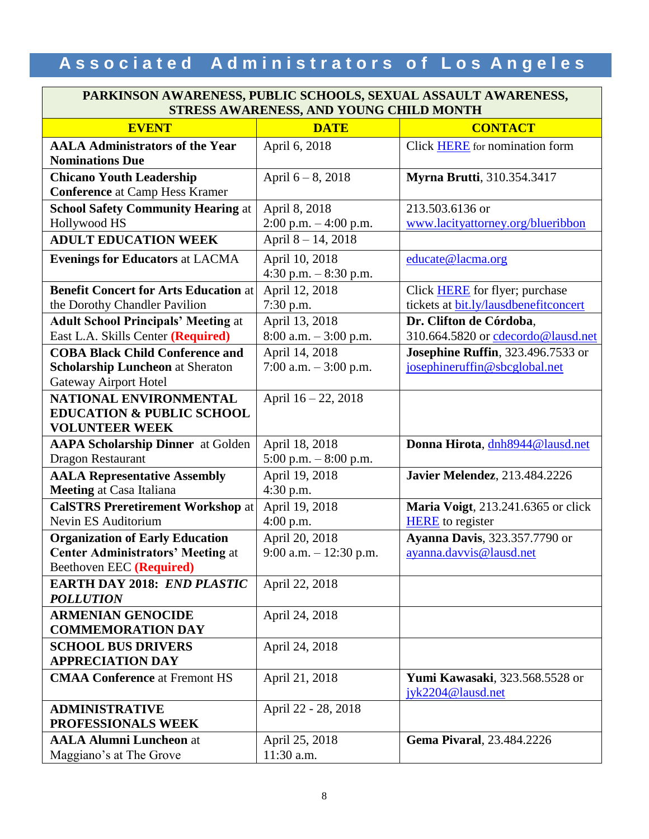#### **PARKINSON AWARENESS, PUBLIC SCHOOLS, SEXUAL ASSAULT AWARENESS, STRESS AWARENESS, AND YOUNG CHILD MONTH**

| <b>EVENT</b>                                 | DIKEDD A WARENEDD, AND TOUNG CHIED MON<br><b>DATE</b> | <b>CONTACT</b>                        |  |
|----------------------------------------------|-------------------------------------------------------|---------------------------------------|--|
| <b>AALA Administrators of the Year</b>       | April 6, 2018                                         | Click <b>HERE</b> for nomination form |  |
| <b>Nominations Due</b>                       |                                                       |                                       |  |
| <b>Chicano Youth Leadership</b>              | April $6 - 8$ , 2018                                  | <b>Myrna Brutti</b> , 310.354.3417    |  |
| <b>Conference</b> at Camp Hess Kramer        |                                                       |                                       |  |
| <b>School Safety Community Hearing at</b>    | April 8, 2018                                         | 213.503.6136 or                       |  |
| Hollywood HS                                 | 2:00 p.m. - 4:00 p.m.                                 | www.lacityattorney.org/blueribbon     |  |
| <b>ADULT EDUCATION WEEK</b>                  | April 8-14, 2018                                      |                                       |  |
| <b>Evenings for Educators at LACMA</b>       | April 10, 2018                                        | educate@lacma.org                     |  |
|                                              | 4:30 p.m. $-8:30$ p.m.                                |                                       |  |
| <b>Benefit Concert for Arts Education at</b> | April 12, 2018                                        | Click <b>HERE</b> for flyer; purchase |  |
| the Dorothy Chandler Pavilion                | $7:30$ p.m.                                           | tickets at bit.ly/lausdbenefitconcert |  |
| <b>Adult School Principals' Meeting at</b>   | April 13, 2018                                        | Dr. Clifton de Córdoba,               |  |
| East L.A. Skills Center (Required)           | $8:00$ a.m. $-3:00$ p.m.                              | 310.664.5820 or cdecordo@lausd.net    |  |
| <b>COBA Black Child Conference and</b>       | April 14, 2018                                        | Josephine Ruffin, 323.496.7533 or     |  |
| <b>Scholarship Luncheon at Sheraton</b>      | 7:00 a.m. $-3:00$ p.m.                                | josephineruffin@sbcglobal.net         |  |
| <b>Gateway Airport Hotel</b>                 |                                                       |                                       |  |
| NATIONAL ENVIRONMENTAL                       | April 16 - 22, 2018                                   |                                       |  |
| <b>EDUCATION &amp; PUBLIC SCHOOL</b>         |                                                       |                                       |  |
| <b>VOLUNTEER WEEK</b>                        |                                                       |                                       |  |
| <b>AAPA Scholarship Dinner</b> at Golden     | April 18, 2018                                        | Donna Hirota, dnh8944@lausd.net       |  |
| <b>Dragon Restaurant</b>                     | 5:00 p.m. $-8:00$ p.m.                                |                                       |  |
| <b>AALA Representative Assembly</b>          | April 19, 2018                                        | <b>Javier Melendez</b> , 213.484.2226 |  |
| <b>Meeting at Casa Italiana</b>              | $4:30$ p.m.                                           |                                       |  |
| <b>CalSTRS Preretirement Workshop at</b>     | April 19, 2018                                        | Maria Voigt, 213.241.6365 or click    |  |
| Nevin ES Auditorium                          | 4:00 p.m.                                             | <b>HERE</b> to register               |  |
| <b>Organization of Early Education</b>       | April 20, 2018                                        | Ayanna Davis, 323.357.7790 or         |  |
| <b>Center Administrators' Meeting at</b>     | 9:00 a.m. - 12:30 p.m.                                | ayanna.davvis@lausd.net               |  |
| Beethoven EEC (Required)                     |                                                       |                                       |  |
| <b>EARTH DAY 2018: END PLASTIC</b>           | April 22, 2018                                        |                                       |  |
| <b>POLLUTION</b>                             |                                                       |                                       |  |
| <b>ARMENIAN GENOCIDE</b>                     | April 24, 2018                                        |                                       |  |
| <b>COMMEMORATION DAY</b>                     |                                                       |                                       |  |
| <b>SCHOOL BUS DRIVERS</b>                    | April 24, 2018                                        |                                       |  |
| <b>APPRECIATION DAY</b>                      |                                                       |                                       |  |
| <b>CMAA Conference at Fremont HS</b>         | April 21, 2018                                        | Yumi Kawasaki, 323.568.5528 or        |  |
|                                              |                                                       | $i$ yk2204@lausd.net                  |  |
| <b>ADMINISTRATIVE</b>                        | April 22 - 28, 2018                                   |                                       |  |
| PROFESSIONALS WEEK                           |                                                       |                                       |  |
| <b>AALA Alumni Luncheon at</b>               | April 25, 2018                                        | Gema Pivaral, 23.484.2226             |  |
| Maggiano's at The Grove                      | 11:30 a.m.                                            |                                       |  |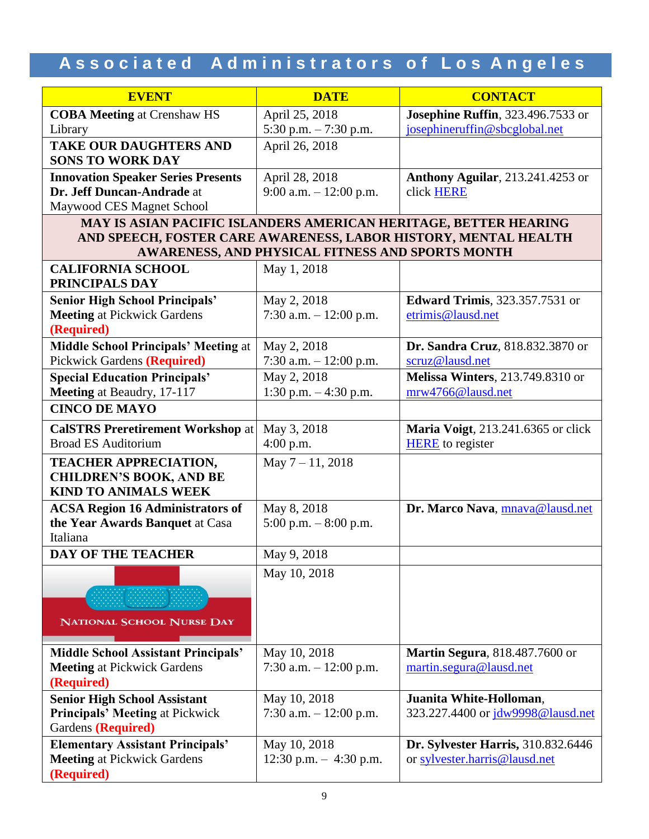| <b>EVENT</b>                                             | <b>DATE</b>                                                                                                         | <b>CONTACT</b>                             |  |  |  |
|----------------------------------------------------------|---------------------------------------------------------------------------------------------------------------------|--------------------------------------------|--|--|--|
| <b>COBA Meeting at Crenshaw HS</b>                       | April 25, 2018                                                                                                      | Josephine Ruffin, 323.496.7533 or          |  |  |  |
| Library                                                  | 5:30 p.m. - 7:30 p.m.                                                                                               | josephineruffin@sbcglobal.net              |  |  |  |
| <b>TAKE OUR DAUGHTERS AND</b><br><b>SONS TO WORK DAY</b> | April 26, 2018                                                                                                      |                                            |  |  |  |
| <b>Innovation Speaker Series Presents</b>                | April 28, 2018                                                                                                      | <b>Anthony Aguilar</b> , 213.241.4253 or   |  |  |  |
| Dr. Jeff Duncan-Andrade at                               | 9:00 a.m. $-12:00$ p.m.                                                                                             | click HERE                                 |  |  |  |
| Maywood CES Magnet School                                |                                                                                                                     |                                            |  |  |  |
|                                                          | MAY IS ASIAN PACIFIC ISLANDERS AMERICAN HERITAGE, BETTER HEARING                                                    |                                            |  |  |  |
|                                                          | AND SPEECH, FOSTER CARE AWARENESS, LABOR HISTORY, MENTAL HEALTH<br>AWARENESS, AND PHYSICAL FITNESS AND SPORTS MONTH |                                            |  |  |  |
| <b>CALIFORNIA SCHOOL</b>                                 | May 1, 2018                                                                                                         |                                            |  |  |  |
| PRINCIPALS DAY                                           |                                                                                                                     |                                            |  |  |  |
| <b>Senior High School Principals'</b>                    | May 2, 2018                                                                                                         | <b>Edward Trimis</b> , 323.357.7531 or     |  |  |  |
| <b>Meeting at Pickwick Gardens</b>                       | 7:30 a.m. $-12:00$ p.m.                                                                                             | etrimis@lausd.net                          |  |  |  |
| (Required)                                               |                                                                                                                     |                                            |  |  |  |
| <b>Middle School Principals' Meeting at</b>              | May 2, 2018                                                                                                         | Dr. Sandra Cruz, 818.832.3870 or           |  |  |  |
| <b>Pickwick Gardens (Required)</b>                       | 7:30 a.m. - 12:00 p.m.                                                                                              | scruz@lausd.net                            |  |  |  |
| <b>Special Education Principals'</b>                     | May 2, 2018                                                                                                         | Melissa Winters, 213.749.8310 or           |  |  |  |
| Meeting at Beaudry, 17-117                               | 1:30 p.m. $-4:30$ p.m.                                                                                              | mrw4766@lausd.net                          |  |  |  |
| <b>CINCO DE MAYO</b>                                     |                                                                                                                     |                                            |  |  |  |
| <b>CalSTRS Preretirement Workshop at</b>                 | May 3, 2018                                                                                                         | <b>Maria Voigt</b> , 213.241.6365 or click |  |  |  |
| <b>Broad ES Auditorium</b>                               | $4:00$ p.m.                                                                                                         | <b>HERE</b> to register                    |  |  |  |
| <b>TEACHER APPRECIATION,</b>                             | May $7 - 11$ , 2018                                                                                                 |                                            |  |  |  |
| <b>CHILDREN'S BOOK, AND BE</b>                           |                                                                                                                     |                                            |  |  |  |
| <b>KIND TO ANIMALS WEEK</b>                              |                                                                                                                     |                                            |  |  |  |
| <b>ACSA Region 16 Administrators of</b>                  | May 8, 2018                                                                                                         | Dr. Marco Nava, mnava@lausd.net            |  |  |  |
| the Year Awards Banquet at Casa                          | 5:00 p.m. $-8:00$ p.m.                                                                                              |                                            |  |  |  |
| Italiana<br><b>DAY OF THE TEACHER</b>                    | May 9, 2018                                                                                                         |                                            |  |  |  |
|                                                          |                                                                                                                     |                                            |  |  |  |
|                                                          | May 10, 2018                                                                                                        |                                            |  |  |  |
|                                                          |                                                                                                                     |                                            |  |  |  |
|                                                          |                                                                                                                     |                                            |  |  |  |
| NATIONAL SCHOOL NURSE DAY                                |                                                                                                                     |                                            |  |  |  |
| <b>Middle School Assistant Principals'</b>               | May 10, 2018                                                                                                        | Martin Segura, 818.487.7600 or             |  |  |  |
| <b>Meeting at Pickwick Gardens</b>                       | 7:30 a.m. $-12:00$ p.m.                                                                                             | martin.segura@lausd.net                    |  |  |  |
| (Required)                                               |                                                                                                                     |                                            |  |  |  |
| <b>Senior High School Assistant</b>                      | May 10, 2018                                                                                                        | Juanita White-Holloman,                    |  |  |  |
| <b>Principals' Meeting at Pickwick</b>                   | 7:30 a.m. $-12:00$ p.m.                                                                                             | 323.227.4400 or jdw9998@lausd.net          |  |  |  |
| Gardens (Required)                                       |                                                                                                                     |                                            |  |  |  |
| <b>Elementary Assistant Principals'</b>                  | May 10, 2018                                                                                                        | Dr. Sylvester Harris, 310.832.6446         |  |  |  |
| <b>Meeting at Pickwick Gardens</b>                       | $12:30$ p.m. $-4:30$ p.m.                                                                                           | or sylvester.harris@lausd.net              |  |  |  |
| (Required)                                               |                                                                                                                     |                                            |  |  |  |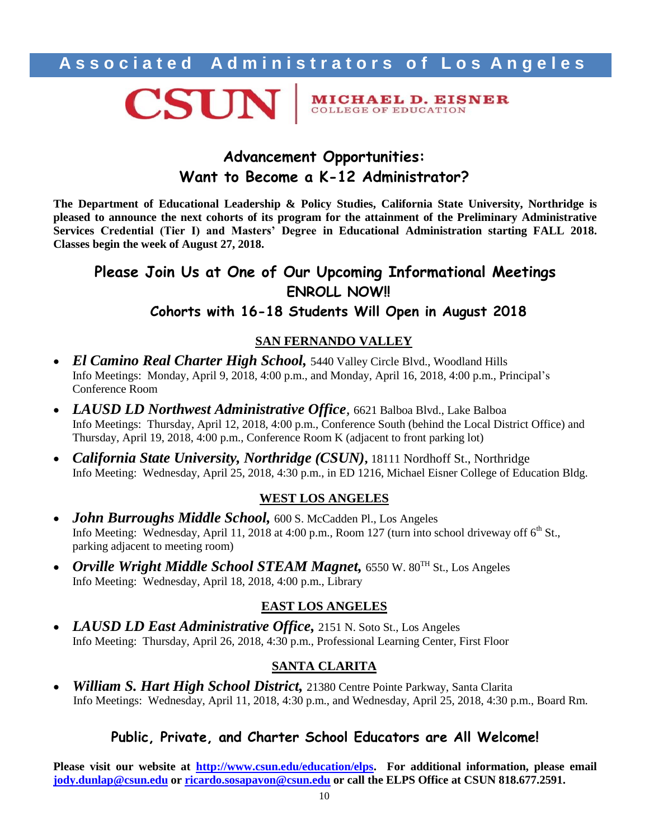

**MICHAEL D. EISNER** COLLEGE OF EDUCATION

## **Advancement Opportunities: Want to Become a K-12 Administrator?**

**The Department of Educational Leadership & Policy Studies, California State University, Northridge is pleased to announce the next cohorts of its program for the attainment of the Preliminary Administrative Services Credential (Tier I) and Masters' Degree in Educational Administration starting FALL 2018. Classes begin the week of August 27, 2018.**

## **Please Join Us at One of Our Upcoming Informational Meetings ENROLL NOW!! Cohorts with 16-18 Students Will Open in August 2018**

### **SAN FERNANDO VALLEY**

- *El Camino Real Charter High School*, 5440 Valley Circle Blvd., Woodland Hills Info Meetings: Monday, April 9, 2018, 4:00 p.m., and Monday, April 16, 2018, 4:00 p.m., Principal's Conference Room
- *LAUSD LD Northwest Administrative Office,* 6621 Balboa Blvd., Lake Balboa Info Meetings: Thursday, April 12, 2018, 4:00 p.m., Conference South (behind the Local District Office) and Thursday, April 19, 2018, 4:00 p.m., Conference Room K (adjacent to front parking lot)
- *California State University, Northridge (CSUN)*, 18111 Nordhoff St., Northridge Info Meeting: Wednesday, April 25, 2018, 4:30 p.m., in ED 1216, Michael Eisner College of Education Bldg.

### **WEST LOS ANGELES**

- *John Burroughs Middle School,* 600 S. McCadden Pl., Los Angeles Info Meeting: Wednesday, April 11, 2018 at 4:00 p.m., Room 127 (turn into school driveway off  $6<sup>th</sup>$  St., parking adjacent to meeting room)
- *Orville Wright Middle School STEAM Magnet,* 6550 W. 80TH St., Los Angeles Info Meeting: Wednesday, April 18, 2018, 4:00 p.m., Library

### **EAST LOS ANGELES**

 *LAUSD LD East Administrative Office,* 2151 N. Soto St., Los Angeles Info Meeting: Thursday, April 26, 2018, 4:30 p.m., Professional Learning Center, First Floor

### **SANTA CLARITA**

 *William S. Hart High School District,* 21380 Centre Pointe Parkway, Santa Clarita Info Meetings: Wednesday, April 11, 2018, 4:30 p.m., and Wednesday, April 25, 2018, 4:30 p.m., Board Rm.

### **Public, Private, and Charter School Educators are All Welcome!**

**Please visit our website at [http://www.csun.edu/education/elps.](http://www.csun.edu/education/elps) For additional information, please email [jody.dunlap@csun.edu](mailto:jody.dunlap@csun.edu) or [ricardo.sosapavon@csun.edu](mailto:ricardo.sosapavon@csun.edu) or call the ELPS Office at CSUN 818.677.2591.**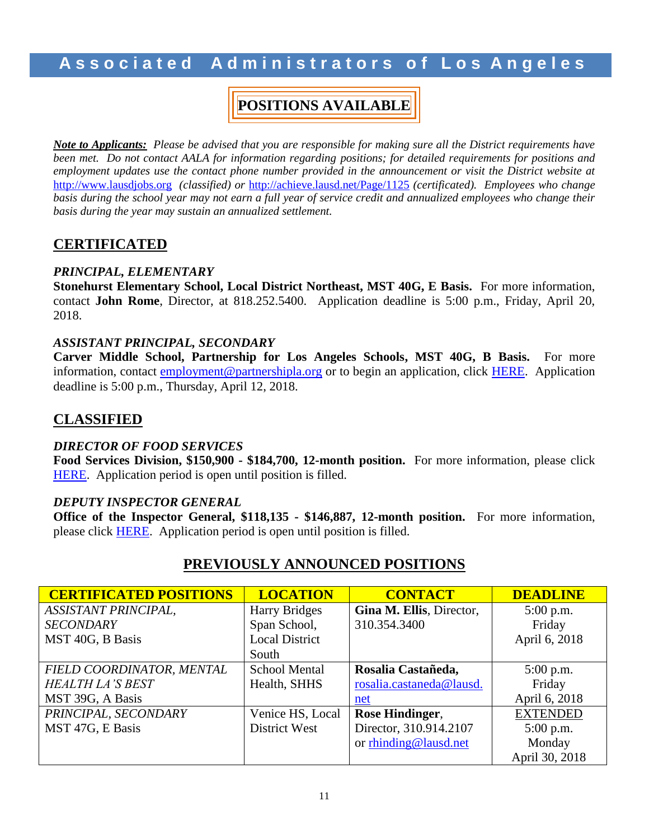## **POSITIONS AVAILABLE**

*Note to Applicants: Please be advised that you are responsible for making sure all the District requirements have been met. Do not contact AALA for information regarding positions; for detailed requirements for positions and employment updates use the contact phone number provided in the announcement or visit the District website at* [http://www.lausdjobs.org](http://www.lausdjobs.org/) *(classified) or* <http://achieve.lausd.net/Page/1125> *(certificated). Employees who change basis during the school year may not earn a full year of service credit and annualized employees who change their basis during the year may sustain an annualized settlement.*

### **CERTIFICATED**

### *PRINCIPAL, ELEMENTARY*

**Stonehurst Elementary School, Local District Northeast, MST 40G, E Basis.** For more information, contact **John Rome**, Director, at 818.252.5400. Application deadline is 5:00 p.m., Friday, April 20, 2018.

### *ASSISTANT PRINCIPAL, SECONDARY*

**Carver Middle School, Partnership for Los Angeles Schools, MST 40G, B Basis.** For more information, contact [employment@partnershipla.org](mailto:employment@partnershipla.org) or to begin an application, click [HERE.](https://theapplicantmangaer.com/careers?co=p6) Application deadline is 5:00 p.m., Thursday, April 12, 2018.

### **CLASSIFIED**

### *DIRECTOR OF FOOD SERVICES*

**Food Services Division, \$150,900 - \$184,700, 12-month position.** For more information, please click [HERE.](https://btserec.lausd.net/sap/bc/webdynpro/sap/zerwd_a_refcode_srch_int?sap-client=910) Application period is open until position is filled.

### *DEPUTY INSPECTOR GENERAL*

**Office of the Inspector General, \$118,135 - \$146,887, 12-month position.** For more information, please click [HERE.](https://btserec.lausd.net/sap/bc/webdynpro/sap/zerwd_a_refcode_srch_int?sap-client=910) Application period is open until position is filled.

### **PREVIOUSLY ANNOUNCED POSITIONS**

| <b>CERTIFICATED POSITIONS</b> | <b>LOCATION</b>       | <b>CONTACT</b>           | <b>DEADLINE</b> |
|-------------------------------|-----------------------|--------------------------|-----------------|
| ASSISTANT PRINCIPAL,          | <b>Harry Bridges</b>  | Gina M. Ellis, Director, | $5:00$ p.m.     |
| <b>SECONDARY</b>              | Span School,          | 310.354.3400             | Friday          |
| MST 40G, B Basis              | <b>Local District</b> |                          | April 6, 2018   |
|                               | South                 |                          |                 |
| FIELD COORDINATOR, MENTAL     | <b>School Mental</b>  | Rosalia Castañeda,       | $5:00$ p.m.     |
| <b>HEALTH LA'S BEST</b>       | Health, SHHS          | rosalia.castaneda@lausd. | Friday          |
| MST 39G, A Basis              |                       | net                      | April 6, 2018   |
| PRINCIPAL, SECONDARY          | Venice HS, Local      | Rose Hindinger,          | <b>EXTENDED</b> |
| MST 47G, E Basis              | District West         | Director, 310.914.2107   | $5:00$ p.m.     |
|                               |                       | or rhinding@lausd.net    | Monday          |
|                               |                       |                          | April 30, 2018  |